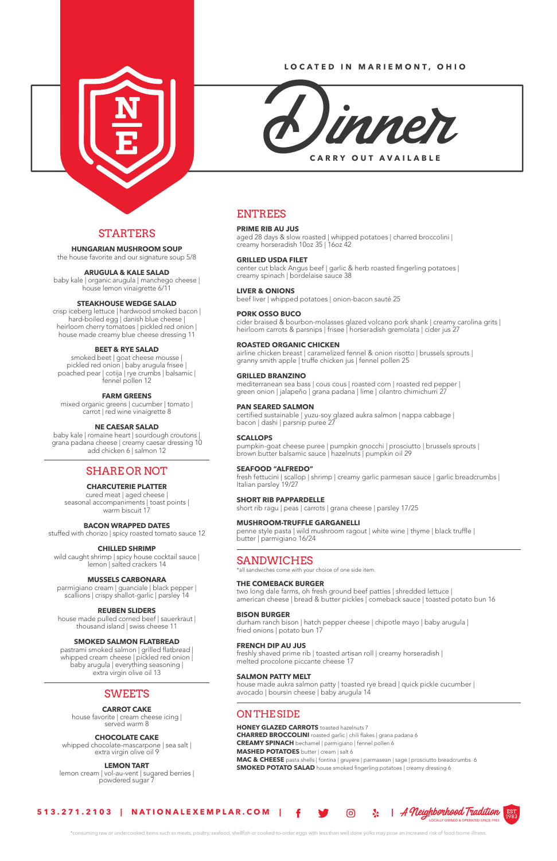

## **LOCATED IN MARIEMONT, OHIO**



# STARTERS

**HUNGARIAN MUSHROOM SOUP** 

the house favorite and our signature soup 5/8

# **ARUGULA & KALE SALAD**

baby kale | organic arugula | manchego cheese | house lemon vinaigrette 6/11

#### **STEAKHOUSE WEDGE SALAD**

mixed organic greens | cucumber | tomato | carrot | red wine vinaigrette 8

crisp iceberg lettuce | hardwood smoked bacon | hard-boiled egg | danish blue cheese | heirloom cherry tomatoes | pickled red onion | house made creamy blue cheese dressing 11

# **BEET & RYE SALAD**

smoked beet | goat cheese mousse | pickled red onion | baby arugula frisee | poached pear | cotija | rye crumbs | balsamic | fennel pollen 12

# **FARM GREENS**

house made pulled corned beef | sauerkraut | thousand island | swiss cheese 11

# **NE CAESAR SALAD**

baby kale | romaine heart | sourdough croutons | grana padana cheese | creamy caesar dressing 10 add chicken 6 | salmon 12

# SHARE OR NOT

# **CHARCUTERIE PLATTER**

cured meat | aged cheese | seasonal accompaniments | toast points | warm biscuit 17

# **BACON WRAPPED DATES**

stuffed with chorizo | spicy roasted tomato sauce 12

# **CHILLED SHRIMP**

cider braised & bourbon-molasses glazed volcano pork shank | creamy carolina grits | heirloom carrots & parsnips | frisee | horseradish gremolata | cider jus 27

wild caught shrimp | spicy house cocktail sauce | lemon | salted crackers 14

# **MUSSELS CARBONARA**

parmigiano cream | guanciale | black pepper | scallions | crispy shallot-garlic | parsley 14

airline chicken breast | caramelized fennel & onion risotto | brussels sprouts | granny smith apple | truffe chicken jus | fennel pollen 25

# **REUBEN SLIDERS**

### **SMOKED SALMON FLATBREAD**

pastrami smoked salmon | grilled flatbread | whipped cream cheese | pickled red onion | baby arugula | everything seasoning | extra virgin olive oil 13

fresh fettucini | scallop | shrimp | creamy garlic parmesan sauce | garlic breadcrumbs | Italian parsley 19/27

# SWEETS

#### **CARROT CAKE**

house favorite | cream cheese icing | served warm 8

# **CHOCOLATE CAKE**

whipped chocolate-mascarpone | sea salt | extra virgin olive oil 9

#### **LEMON TART**

lemon cream | vol-au-vent | sugared berries | powdered sugar 7

# ENTREES

# **PRIME RIB AU JUS**

aged 28 days & slow roasted | whipped potatoes | charred broccolini | creamy horseradish 10oz 35 | 16oz 42

# **GRILLED USDA FILET**

house made aukra salmon patty | toasted rye bread | quick pickle cucumber | avocado | boursin cheese | baby arugula 14

**HONEY GLAZED CARROTS** toasted hazelnuts 7 **CHARRED BROCCOLINI** roasted garlic | chili flakes | grana padana 6 **CREAMY SPINACH** bechamel | parmigiano | fennel pollen 6 **MASHED POTATOES** butter | cream | salt 6 **MAC & CHEESE** pasta shells | fontina | gruyere | parmasean | sage | prosciutto breadcrumbs 6 **SMOKED POTATO SALAD** house smoked fingerling potatoes | creamy dressing 6

center cut black Angus beef | garlic & herb roasted fingerling potatoes | creamy spinach | bordelaise sauce 38

**LIVER & ONIONS**  beef liver | whipped potatoes | onion-bacon sauté 25

# **PORK OSSO BUCO**

# **ROASTED ORGANIC CHICKEN**

# **GRILLED BRANZINO**

mediterranean sea bass | cous cous | roasted corn | roasted red pepper | green onion | jalapeño | grana padana | lime | cilantro chimichurri 27

# **PAN SEARED SALMON**

certified sustainable | yuzu-soy glazed aukra salmon | nappa cabbage | bacon | dashi | parsnip puree 27

# **SCALLOPS**

pumpkin-goat cheese puree | pumpkin gnocchi | prosciutto | brussels sprouts | brown butter balsamic sauce | hazelnuts | pumpkin oil 29

# **SEAFOOD "ALFREDO"**

# **SHORT RIB PAPPARDELLE**

short rib ragu | peas | carrots | grana cheese | parsley 17/25

# **MUSHROOM-TRUFFLE GARGANELLI**

penne style pasta | wild mushroom ragout | white wine | thyme | black truffle | butter | parmigiano 16/24

# SANDWICHES

\*all sandwiches come with your choice of one side item.

# **THE COMEBACK BURGER**

two long dale farms, oh fresh ground beef patties | shredded lettuce | american cheese | bread & butter pickles | comeback sauce | toasted potato bun 16

# **BISON BURGER**

durham ranch bison | hatch pepper cheese | chipotle mayo | baby arugula | fried onions | potato bun 17

# **FRENCH DIP AU JUS**

freshly shaved prime rib | toasted artisan roll | creamy horseradish | melted procolone piccante cheese 17

## **SALMON PATTY MELT**

# ON THE SIDE

\*consuming raw or undercooked items such as meats, poultry, seafood, shellfish or cooked-to-order eggs with less than well done yolks may pose an increased risk of food-borne-illness.

# **513.271.2103 | NATIONALEXEMPLAR.COM | |** A Neighborhood Tradition LOCALLY OWNED & OPERATED SINCE 1983